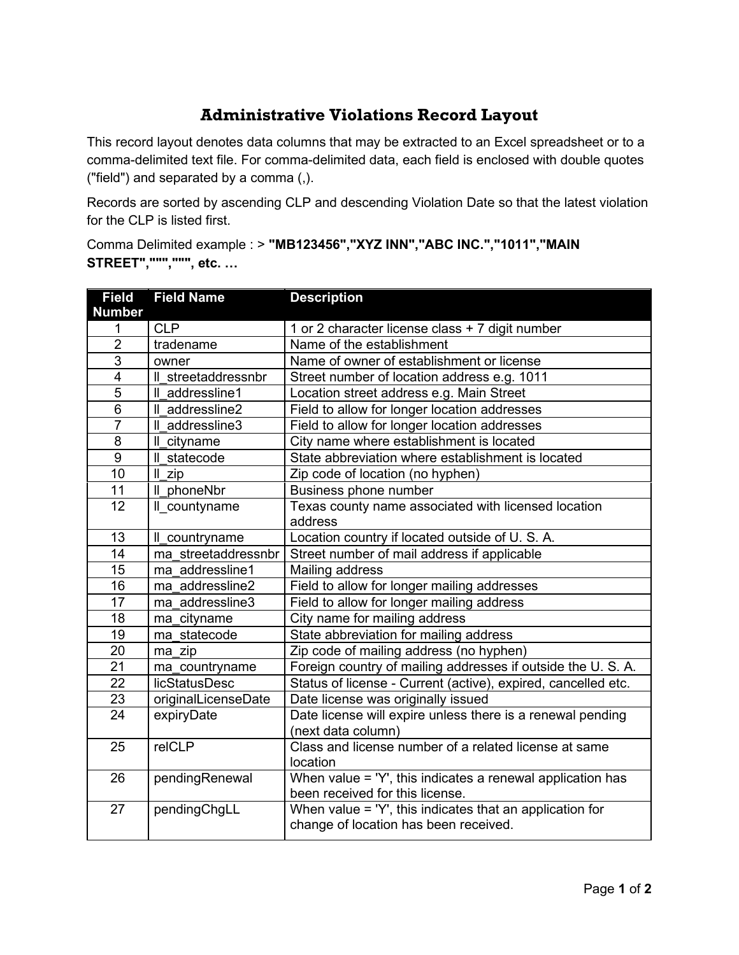## **Administrative Violations Record Layout**

This record layout denotes data columns that may be extracted to an Excel spreadsheet or to a comma-delimited text file. For comma-delimited data, each field is enclosed with double quotes ("field") and separated by a comma (,).

Records are sorted by ascending CLP and descending Violation Date so that the latest violation for the CLP is listed first.

Comma Delimited example : > **"MB123456","XYZ INN","ABC INC.","1011","MAIN STREET",""",""", etc. …**

| <b>Field</b>                        | <b>Field Name</b>    | <b>Description</b>                                                                       |
|-------------------------------------|----------------------|------------------------------------------------------------------------------------------|
| <b>Number</b><br>1                  | <b>CLP</b>           | 1 or 2 character license class + 7 digit number                                          |
| $\overline{2}$                      | tradename            | Name of the establishment                                                                |
| $\overline{3}$                      | owner                | Name of owner of establishment or license                                                |
| $\overline{\mathbf{4}}$             | Il streetaddressnbr  | Street number of location address e.g. 1011                                              |
| $\overline{5}$                      | Il addressline1      | Location street address e.g. Main Street                                                 |
| $\overline{6}$                      | Il addressline2      | Field to allow for longer location addresses                                             |
| $\overline{7}$                      | Il addressline3      |                                                                                          |
| 8                                   |                      | Field to allow for longer location addresses<br>City name where establishment is located |
|                                     | Il cityname          |                                                                                          |
| $\boldsymbol{9}$<br>$\overline{10}$ | Il statecode         | State abbreviation where establishment is located                                        |
|                                     | Il zip               | Zip code of location (no hyphen)                                                         |
| 11                                  | Il phoneNbr          | Business phone number                                                                    |
| 12                                  | Il countyname        | Texas county name associated with licensed location                                      |
|                                     |                      | address                                                                                  |
| 13                                  | Il_countryname       | Location country if located outside of U. S. A.                                          |
| 14                                  | ma streetaddressnbr  | Street number of mail address if applicable                                              |
| 15                                  | ma addressline1      | Mailing address                                                                          |
| 16                                  | ma addressline2      | Field to allow for longer mailing addresses                                              |
| 17                                  | ma addressline3      | Field to allow for longer mailing address                                                |
| 18                                  | ma cityname          | City name for mailing address                                                            |
| 19                                  | ma statecode         | State abbreviation for mailing address                                                   |
| $\overline{20}$                     | ma zip               | Zip code of mailing address (no hyphen)                                                  |
| 21                                  | ma countryname       | Foreign country of mailing addresses if outside the U. S. A.                             |
| 22                                  | <b>licStatusDesc</b> | Status of license - Current (active), expired, cancelled etc.                            |
| 23                                  | originalLicenseDate  | Date license was originally issued                                                       |
| 24                                  | expiryDate           | Date license will expire unless there is a renewal pending                               |
|                                     |                      | (next data column)                                                                       |
| 25                                  | relCLP               | Class and license number of a related license at same                                    |
|                                     |                      | location                                                                                 |
| 26                                  | pendingRenewal       | When value = 'Y', this indicates a renewal application has                               |
|                                     |                      | been received for this license.                                                          |
| 27                                  | pendingChgLL         | When value = 'Y', this indicates that an application for                                 |
|                                     |                      | change of location has been received.                                                    |
|                                     |                      |                                                                                          |